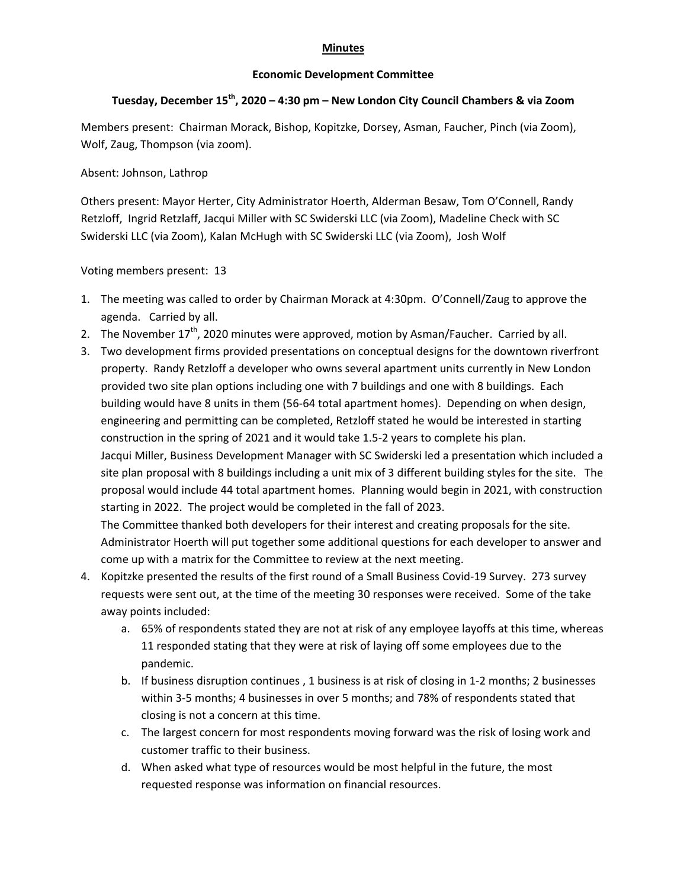## **Minutes**

## **Economic Development Committee**

## **Tuesday, December 15th, 2020 – 4:30 pm – New London City Council Chambers & via Zoom**

Members present: Chairman Morack, Bishop, Kopitzke, Dorsey, Asman, Faucher, Pinch (via Zoom), Wolf, Zaug, Thompson (via zoom).

## Absent: Johnson, Lathrop

Others present: Mayor Herter, City Administrator Hoerth, Alderman Besaw, Tom O'Connell, Randy Retzloff, Ingrid Retzlaff, Jacqui Miller with SC Swiderski LLC (via Zoom), Madeline Check with SC Swiderski LLC (via Zoom), Kalan McHugh with SC Swiderski LLC (via Zoom), Josh Wolf

Voting members present: 13

- 1. The meeting was called to order by Chairman Morack at 4:30pm. O'Connell/Zaug to approve the agenda. Carried by all.
- 2. The November  $17<sup>th</sup>$ , 2020 minutes were approved, motion by Asman/Faucher. Carried by all.
- 3. Two development firms provided presentations on conceptual designs for the downtown riverfront property. Randy Retzloff a developer who owns several apartment units currently in New London provided two site plan options including one with 7 buildings and one with 8 buildings. Each building would have 8 units in them (56‐64 total apartment homes). Depending on when design, engineering and permitting can be completed, Retzloff stated he would be interested in starting construction in the spring of 2021 and it would take 1.5‐2 years to complete his plan. Jacqui Miller, Business Development Manager with SC Swiderski led a presentation which included a site plan proposal with 8 buildings including a unit mix of 3 different building styles for the site. The proposal would include 44 total apartment homes. Planning would begin in 2021, with construction starting in 2022. The project would be completed in the fall of 2023. The Committee thanked both developers for their interest and creating proposals for the site. Administrator Hoerth will put together some additional questions for each developer to answer and come up with a matrix for the Committee to review at the next meeting.
- 4. Kopitzke presented the results of the first round of a Small Business Covid‐19 Survey. 273 survey requests were sent out, at the time of the meeting 30 responses were received. Some of the take away points included:
	- a. 65% of respondents stated they are not at risk of any employee layoffs at this time, whereas 11 responded stating that they were at risk of laying off some employees due to the pandemic.
	- b. If business disruption continues , 1 business is at risk of closing in 1‐2 months; 2 businesses within 3‐5 months; 4 businesses in over 5 months; and 78% of respondents stated that closing is not a concern at this time.
	- c. The largest concern for most respondents moving forward was the risk of losing work and customer traffic to their business.
	- d. When asked what type of resources would be most helpful in the future, the most requested response was information on financial resources.